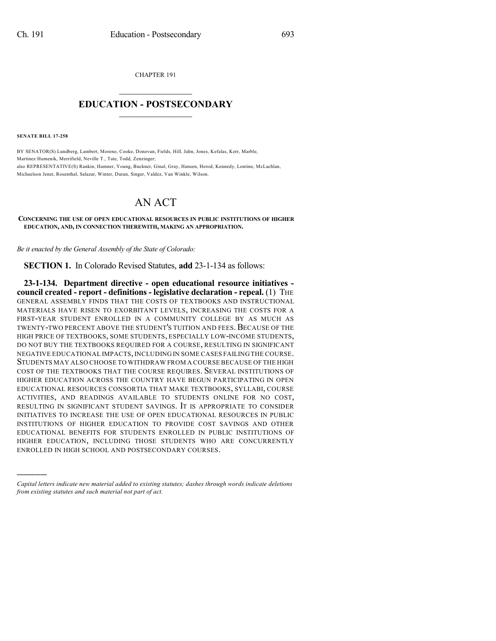CHAPTER 191

## $\mathcal{L}_\text{max}$  . The set of the set of the set of the set of the set of the set of the set of the set of the set of the set of the set of the set of the set of the set of the set of the set of the set of the set of the set **EDUCATION - POSTSECONDARY**  $\_$   $\_$   $\_$   $\_$   $\_$   $\_$   $\_$   $\_$   $\_$

**SENATE BILL 17-258**

)))))

BY SENATOR(S) Lundberg, Lambert, Moreno, Cooke, Donovan, Fields, Hill, Jahn, Jones, Kefalas, Kerr, Marble, Martinez Humenik, Merrifield, Neville T., Tate, Todd, Zenzinger; also REPRESENTATIVE(S) Rankin, Hamner, Young, Buckner, Ginal, Gray, Hansen, Herod, Kennedy, Lontine, McLachlan, Michaelson Jenet, Rosenthal, Salazar, Winter, Duran, Singer, Valdez, Van Winkle, Wilson.

## AN ACT

## **CONCERNING THE USE OF OPEN EDUCATIONAL RESOURCES IN PUBLIC INSTITUTIONS OF HIGHER EDUCATION, AND, IN CONNECTION THEREWITH, MAKING AN APPROPRIATION.**

*Be it enacted by the General Assembly of the State of Colorado:*

**SECTION 1.** In Colorado Revised Statutes, **add** 23-1-134 as follows:

**23-1-134. Department directive - open educational resource initiatives council created - report - definitions - legislative declaration - repeal.** (1) THE GENERAL ASSEMBLY FINDS THAT THE COSTS OF TEXTBOOKS AND INSTRUCTIONAL MATERIALS HAVE RISEN TO EXORBITANT LEVELS, INCREASING THE COSTS FOR A FIRST-YEAR STUDENT ENROLLED IN A COMMUNITY COLLEGE BY AS MUCH AS TWENTY-TWO PERCENT ABOVE THE STUDENT'S TUITION AND FEES. BECAUSE OF THE HIGH PRICE OF TEXTBOOKS, SOME STUDENTS, ESPECIALLY LOW-INCOME STUDENTS, DO NOT BUY THE TEXTBOOKS REQUIRED FOR A COURSE, RESULTING IN SIGNIFICANT NEGATIVE EDUCATIONAL IMPACTS,INCLUDING IN SOME CASES FAILING THE COURSE. STUDENTS MAY ALSO CHOOSE TO WITHDRAW FROM A COURSE BECAUSE OF THE HIGH COST OF THE TEXTBOOKS THAT THE COURSE REQUIRES. SEVERAL INSTITUTIONS OF HIGHER EDUCATION ACROSS THE COUNTRY HAVE BEGUN PARTICIPATING IN OPEN EDUCATIONAL RESOURCES CONSORTIA THAT MAKE TEXTBOOKS, SYLLABI, COURSE ACTIVITIES, AND READINGS AVAILABLE TO STUDENTS ONLINE FOR NO COST, RESULTING IN SIGNIFICANT STUDENT SAVINGS. IT IS APPROPRIATE TO CONSIDER INITIATIVES TO INCREASE THE USE OF OPEN EDUCATIONAL RESOURCES IN PUBLIC INSTITUTIONS OF HIGHER EDUCATION TO PROVIDE COST SAVINGS AND OTHER EDUCATIONAL BENEFITS FOR STUDENTS ENROLLED IN PUBLIC INSTITUTIONS OF HIGHER EDUCATION, INCLUDING THOSE STUDENTS WHO ARE CONCURRENTLY ENROLLED IN HIGH SCHOOL AND POSTSECONDARY COURSES.

*Capital letters indicate new material added to existing statutes; dashes through words indicate deletions from existing statutes and such material not part of act.*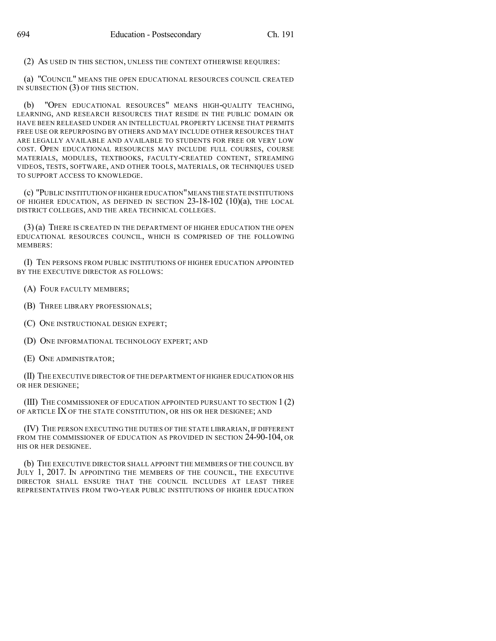(2) AS USED IN THIS SECTION, UNLESS THE CONTEXT OTHERWISE REQUIRES:

(a) "COUNCIL" MEANS THE OPEN EDUCATIONAL RESOURCES COUNCIL CREATED IN SUBSECTION (3) OF THIS SECTION.

(b) "OPEN EDUCATIONAL RESOURCES" MEANS HIGH-QUALITY TEACHING, LEARNING, AND RESEARCH RESOURCES THAT RESIDE IN THE PUBLIC DOMAIN OR HAVE BEEN RELEASED UNDER AN INTELLECTUAL PROPERTY LICENSE THAT PERMITS FREE USE OR REPURPOSING BY OTHERS AND MAY INCLUDE OTHER RESOURCES THAT ARE LEGALLY AVAILABLE AND AVAILABLE TO STUDENTS FOR FREE OR VERY LOW COST. OPEN EDUCATIONAL RESOURCES MAY INCLUDE FULL COURSES, COURSE MATERIALS, MODULES, TEXTBOOKS, FACULTY-CREATED CONTENT, STREAMING VIDEOS, TESTS, SOFTWARE, AND OTHER TOOLS, MATERIALS, OR TECHNIQUES USED TO SUPPORT ACCESS TO KNOWLEDGE.

(c) "PUBLIC INSTITUTION OF HIGHER EDUCATION"MEANS THE STATE INSTITUTIONS OF HIGHER EDUCATION, AS DEFINED IN SECTION 23-18-102 (10)(a), THE LOCAL DISTRICT COLLEGES, AND THE AREA TECHNICAL COLLEGES.

(3) (a) THERE IS CREATED IN THE DEPARTMENT OF HIGHER EDUCATION THE OPEN EDUCATIONAL RESOURCES COUNCIL, WHICH IS COMPRISED OF THE FOLLOWING MEMBERS:

(I) TEN PERSONS FROM PUBLIC INSTITUTIONS OF HIGHER EDUCATION APPOINTED BY THE EXECUTIVE DIRECTOR AS FOLLOWS:

(A) FOUR FACULTY MEMBERS;

- (B) THREE LIBRARY PROFESSIONALS;
- (C) ONE INSTRUCTIONAL DESIGN EXPERT;

(D) ONE INFORMATIONAL TECHNOLOGY EXPERT; AND

(E) ONE ADMINISTRATOR;

(II) THE EXECUTIVE DIRECTOR OF THE DEPARTMENT OF HIGHER EDUCATION OR HIS OR HER DESIGNEE;

(III) THE COMMISSIONER OF EDUCATION APPOINTED PURSUANT TO SECTION 1 (2) OF ARTICLE IX OF THE STATE CONSTITUTION, OR HIS OR HER DESIGNEE; AND

(IV) THE PERSON EXECUTING THE DUTIES OF THE STATE LIBRARIAN, IF DIFFERENT FROM THE COMMISSIONER OF EDUCATION AS PROVIDED IN SECTION 24-90-104, OR HIS OR HER DESIGNEE.

(b) THE EXECUTIVE DIRECTOR SHALL APPOINT THE MEMBERS OF THE COUNCIL BY JULY 1, 2017. IN APPOINTING THE MEMBERS OF THE COUNCIL, THE EXECUTIVE DIRECTOR SHALL ENSURE THAT THE COUNCIL INCLUDES AT LEAST THREE REPRESENTATIVES FROM TWO-YEAR PUBLIC INSTITUTIONS OF HIGHER EDUCATION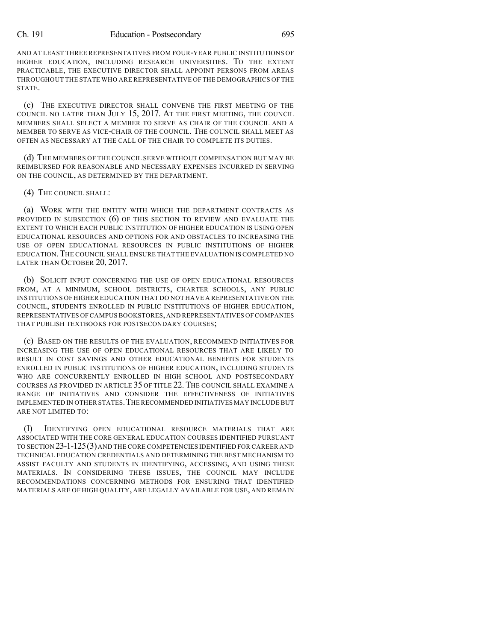## Ch. 191 Education - Postsecondary 695

AND AT LEAST THREE REPRESENTATIVES FROM FOUR-YEAR PUBLIC INSTITUTIONS OF HIGHER EDUCATION, INCLUDING RESEARCH UNIVERSITIES. TO THE EXTENT PRACTICABLE, THE EXECUTIVE DIRECTOR SHALL APPOINT PERSONS FROM AREAS THROUGHOUT THE STATE WHO ARE REPRESENTATIVE OF THE DEMOGRAPHICS OF THE STATE.

(c) THE EXECUTIVE DIRECTOR SHALL CONVENE THE FIRST MEETING OF THE COUNCIL NO LATER THAN JULY 15, 2017. AT THE FIRST MEETING, THE COUNCIL MEMBERS SHALL SELECT A MEMBER TO SERVE AS CHAIR OF THE COUNCIL AND A MEMBER TO SERVE AS VICE-CHAIR OF THE COUNCIL. THE COUNCIL SHALL MEET AS OFTEN AS NECESSARY AT THE CALL OF THE CHAIR TO COMPLETE ITS DUTIES.

(d) THE MEMBERS OF THE COUNCIL SERVE WITHOUT COMPENSATION BUT MAY BE REIMBURSED FOR REASONABLE AND NECESSARY EXPENSES INCURRED IN SERVING ON THE COUNCIL, AS DETERMINED BY THE DEPARTMENT.

(4) THE COUNCIL SHALL:

(a) WORK WITH THE ENTITY WITH WHICH THE DEPARTMENT CONTRACTS AS PROVIDED IN SUBSECTION (6) OF THIS SECTION TO REVIEW AND EVALUATE THE EXTENT TO WHICH EACH PUBLIC INSTITUTION OF HIGHER EDUCATION IS USING OPEN EDUCATIONAL RESOURCES AND OPTIONS FOR AND OBSTACLES TO INCREASING THE USE OF OPEN EDUCATIONAL RESOURCES IN PUBLIC INSTITUTIONS OF HIGHER EDUCATION.THE COUNCIL SHALL ENSURE THAT THE EVALUATION IS COMPLETED NO LATER THAN OCTOBER 20, 2017.

(b) SOLICIT INPUT CONCERNING THE USE OF OPEN EDUCATIONAL RESOURCES FROM, AT A MINIMUM, SCHOOL DISTRICTS, CHARTER SCHOOLS, ANY PUBLIC INSTITUTIONS OF HIGHER EDUCATION THAT DO NOT HAVE A REPRESENTATIVE ON THE COUNCIL, STUDENTS ENROLLED IN PUBLIC INSTITUTIONS OF HIGHER EDUCATION, REPRESENTATIVES OF CAMPUS BOOKSTORES,AND REPRESENTATIVES OF COMPANIES THAT PUBLISH TEXTBOOKS FOR POSTSECONDARY COURSES;

(c) BASED ON THE RESULTS OF THE EVALUATION, RECOMMEND INITIATIVES FOR INCREASING THE USE OF OPEN EDUCATIONAL RESOURCES THAT ARE LIKELY TO RESULT IN COST SAVINGS AND OTHER EDUCATIONAL BENEFITS FOR STUDENTS ENROLLED IN PUBLIC INSTITUTIONS OF HIGHER EDUCATION, INCLUDING STUDENTS WHO ARE CONCURRENTLY ENROLLED IN HIGH SCHOOL AND POSTSECONDARY COURSES AS PROVIDED IN ARTICLE 35 OF TITLE 22. THE COUNCIL SHALL EXAMINE A RANGE OF INITIATIVES AND CONSIDER THE EFFECTIVENESS OF INITIATIVES IMPLEMENTED IN OTHER STATES.THE RECOMMENDED INITIATIVES MAY INCLUDE BUT ARE NOT LIMITED TO:

(I) IDENTIFYING OPEN EDUCATIONAL RESOURCE MATERIALS THAT ARE ASSOCIATED WITH THE CORE GENERAL EDUCATION COURSES IDENTIFIED PURSUANT TO SECTION 23-1-125(3)AND THE CORE COMPETENCIES IDENTIFIED FOR CAREER AND TECHNICAL EDUCATION CREDENTIALS AND DETERMINING THE BEST MECHANISM TO ASSIST FACULTY AND STUDENTS IN IDENTIFYING, ACCESSING, AND USING THESE MATERIALS. IN CONSIDERING THESE ISSUES, THE COUNCIL MAY INCLUDE RECOMMENDATIONS CONCERNING METHODS FOR ENSURING THAT IDENTIFIED MATERIALS ARE OF HIGH QUALITY, ARE LEGALLY AVAILABLE FOR USE, AND REMAIN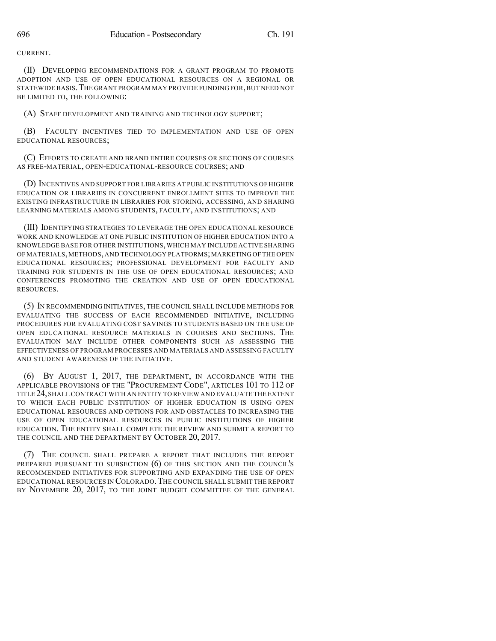CURRENT.

(II) DEVELOPING RECOMMENDATIONS FOR A GRANT PROGRAM TO PROMOTE ADOPTION AND USE OF OPEN EDUCATIONAL RESOURCES ON A REGIONAL OR STATEWIDE BASIS.THE GRANT PROGRAM MAY PROVIDE FUNDING FOR,BUT NEED NOT BE LIMITED TO, THE FOLLOWING:

(A) STAFF DEVELOPMENT AND TRAINING AND TECHNOLOGY SUPPORT;

(B) FACULTY INCENTIVES TIED TO IMPLEMENTATION AND USE OF OPEN EDUCATIONAL RESOURCES;

(C) EFFORTS TO CREATE AND BRAND ENTIRE COURSES OR SECTIONS OF COURSES AS FREE-MATERIAL, OPEN-EDUCATIONAL-RESOURCE COURSES; AND

(D) INCENTIVES AND SUPPORT FOR LIBRARIES AT PUBLIC INSTITUTIONS OF HIGHER EDUCATION OR LIBRARIES IN CONCURRENT ENROLLMENT SITES TO IMPROVE THE EXISTING INFRASTRUCTURE IN LIBRARIES FOR STORING, ACCESSING, AND SHARING LEARNING MATERIALS AMONG STUDENTS, FACULTY, AND INSTITUTIONS; AND

(III) IDENTIFYING STRATEGIES TO LEVERAGE THE OPEN EDUCATIONAL RESOURCE WORK AND KNOWLEDGE AT ONE PUBLIC INSTITUTION OF HIGHER EDUCATION INTO A KNOWLEDGE BASE FOR OTHER INSTITUTIONS,WHICH MAY INCLUDE ACTIVE SHARING OF MATERIALS,METHODS, AND TECHNOLOGY PLATFORMS;MARKETING OF THE OPEN EDUCATIONAL RESOURCES; PROFESSIONAL DEVELOPMENT FOR FACULTY AND TRAINING FOR STUDENTS IN THE USE OF OPEN EDUCATIONAL RESOURCES; AND CONFERENCES PROMOTING THE CREATION AND USE OF OPEN EDUCATIONAL RESOURCES.

(5) IN RECOMMENDING INITIATIVES, THE COUNCIL SHALL INCLUDE METHODS FOR EVALUATING THE SUCCESS OF EACH RECOMMENDED INITIATIVE, INCLUDING PROCEDURES FOR EVALUATING COST SAVINGS TO STUDENTS BASED ON THE USE OF OPEN EDUCATIONAL RESOURCE MATERIALS IN COURSES AND SECTIONS. THE EVALUATION MAY INCLUDE OTHER COMPONENTS SUCH AS ASSESSING THE EFFECTIVENESS OF PROGRAM PROCESSES AND MATERIALS AND ASSESSING FACULTY AND STUDENT AWARENESS OF THE INITIATIVE.

(6) BY AUGUST 1, 2017, THE DEPARTMENT, IN ACCORDANCE WITH THE APPLICABLE PROVISIONS OF THE "PROCUREMENT CODE", ARTICLES 101 TO 112 OF TITLE 24,SHALLCONTRACT WITH AN ENTITY TO REVIEW AND EVALUATE THE EXTENT TO WHICH EACH PUBLIC INSTITUTION OF HIGHER EDUCATION IS USING OPEN EDUCATIONAL RESOURCES AND OPTIONS FOR AND OBSTACLES TO INCREASING THE USE OF OPEN EDUCATIONAL RESOURCES IN PUBLIC INSTITUTIONS OF HIGHER EDUCATION. THE ENTITY SHALL COMPLETE THE REVIEW AND SUBMIT A REPORT TO THE COUNCIL AND THE DEPARTMENT BY OCTOBER 20, 2017.

(7) THE COUNCIL SHALL PREPARE A REPORT THAT INCLUDES THE REPORT PREPARED PURSUANT TO SUBSECTION (6) OF THIS SECTION AND THE COUNCIL'S RECOMMENDED INITIATIVES FOR SUPPORTING AND EXPANDING THE USE OF OPEN EDUCATIONAL RESOURCES IN COLORADO.THE COUNCIL SHALL SUBMIT THE REPORT BY NOVEMBER 20, 2017, TO THE JOINT BUDGET COMMITTEE OF THE GENERAL